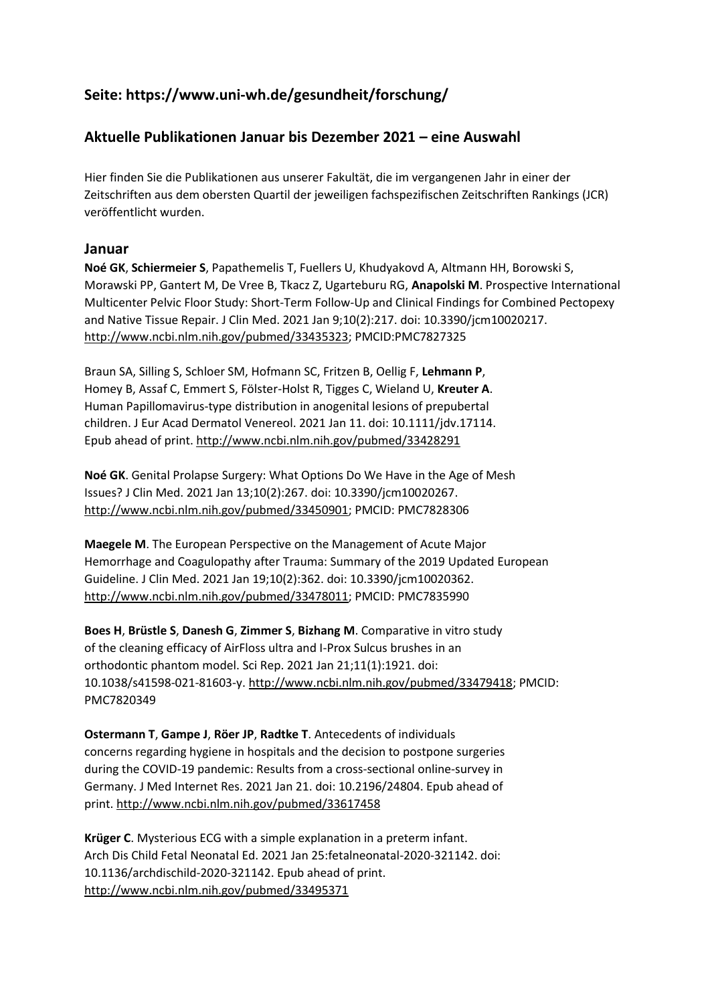# **Seite: https://www.uni-wh.de/gesundheit/forschung/**

## **Aktuelle Publikationen Januar bis Dezember 2021 – eine Auswahl**

Hier finden Sie die Publikationen aus unserer Fakultät, die im vergangenen Jahr in einer der Zeitschriften aus dem obersten Quartil der jeweiligen fachspezifischen Zeitschriften Rankings (JCR) veröffentlicht wurden.

### **Januar**

**Noé GK**, **Schiermeier S**, Papathemelis T, Fuellers U, Khudyakovd A, Altmann HH, Borowski S, Morawski PP, Gantert M, De Vree B, Tkacz Z, Ugarteburu RG, **Anapolski M**. Prospective International Multicenter Pelvic Floor Study: Short-Term Follow-Up and Clinical Findings for Combined Pectopexy and Native Tissue Repair. J Clin Med. 2021 Jan 9;10(2):217. doi: 10.3390/jcm10020217. [http://www.ncbi.nlm.nih.gov/pubmed/33435323;](http://www.ncbi.nlm.nih.gov/pubmed/33435323) PMCID:PMC7827325

Braun SA, Silling S, Schloer SM, Hofmann SC, Fritzen B, Oellig F, **Lehmann P**, Homey B, Assaf C, Emmert S, Fölster-Holst R, Tigges C, Wieland U, **Kreuter A**. Human Papillomavirus-type distribution in anogenital lesions of prepubertal children. J Eur Acad Dermatol Venereol. 2021 Jan 11. doi: 10.1111/jdv.17114. Epub ahead of print[. http://www.ncbi.nlm.nih.gov/pubmed/33428291](http://www.ncbi.nlm.nih.gov/pubmed/33428291)

**Noé GK**. Genital Prolapse Surgery: What Options Do We Have in the Age of Mesh Issues? J Clin Med. 2021 Jan 13;10(2):267. doi: 10.3390/jcm10020267. [http://www.ncbi.nlm.nih.gov/pubmed/33450901;](http://www.ncbi.nlm.nih.gov/pubmed/33450901) PMCID: PMC7828306

**Maegele M**. The European Perspective on the Management of Acute Major Hemorrhage and Coagulopathy after Trauma: Summary of the 2019 Updated European Guideline. J Clin Med. 2021 Jan 19;10(2):362. doi: 10.3390/jcm10020362. [http://www.ncbi.nlm.nih.gov/pubmed/33478011;](http://www.ncbi.nlm.nih.gov/pubmed/33478011) PMCID: PMC7835990

**Boes H**, **Brüstle S**, **Danesh G**, **Zimmer S**, **Bizhang M**. Comparative in vitro study of the cleaning efficacy of AirFloss ultra and I-Prox Sulcus brushes in an orthodontic phantom model. Sci Rep. 2021 Jan 21;11(1):1921. doi: 10.1038/s41598-021-81603-y[. http://www.ncbi.nlm.nih.gov/pubmed/33479418;](http://www.ncbi.nlm.nih.gov/pubmed/33479418) PMCID: PMC7820349

**Ostermann T**, **Gampe J**, **Röer JP**, **Radtke T**. Antecedents of individuals concerns regarding hygiene in hospitals and the decision to postpone surgeries during the COVID-19 pandemic: Results from a cross-sectional online-survey in Germany. J Med Internet Res. 2021 Jan 21. doi: 10.2196/24804. Epub ahead of print[. http://www.ncbi.nlm.nih.gov/pubmed/33617458](http://www.ncbi.nlm.nih.gov/pubmed/33617458)

**Krüger C**. Mysterious ECG with a simple explanation in a preterm infant. Arch Dis Child Fetal Neonatal Ed. 2021 Jan 25:fetalneonatal-2020-321142. doi: 10.1136/archdischild-2020-321142. Epub ahead of print. <http://www.ncbi.nlm.nih.gov/pubmed/33495371>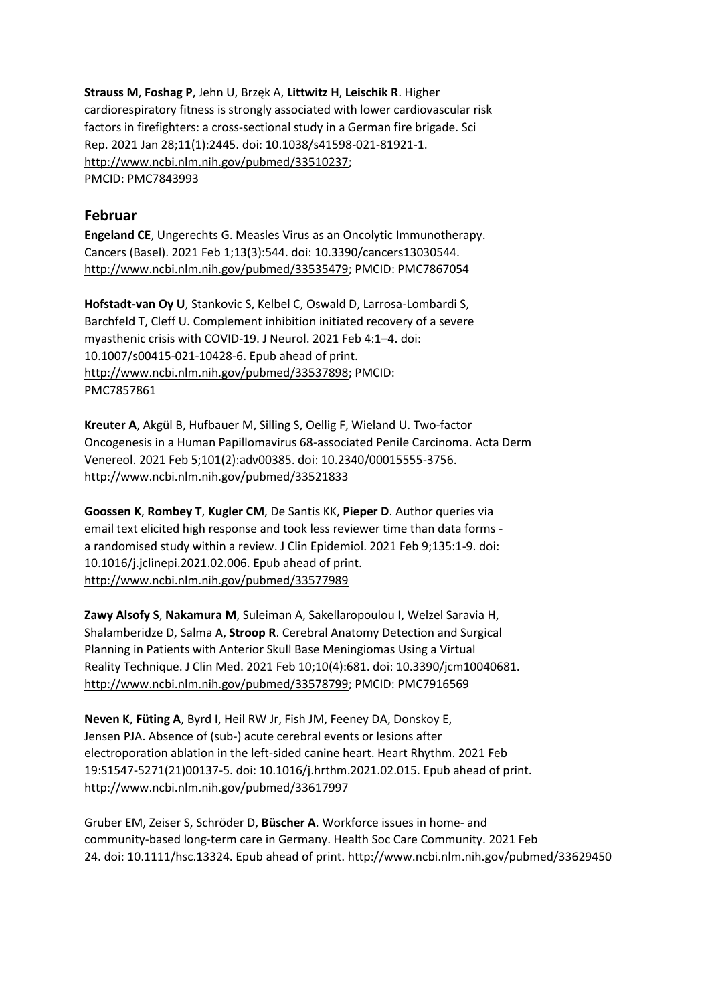**Strauss M**, **Foshag P**, Jehn U, Brzęk A, **Littwitz H**, **Leischik R**. Higher cardiorespiratory fitness is strongly associated with lower cardiovascular risk factors in firefighters: a cross-sectional study in a German fire brigade. Sci Rep. 2021 Jan 28;11(1):2445. doi: 10.1038/s41598-021-81921-1. [http://www.ncbi.nlm.nih.gov/pubmed/33510237;](http://www.ncbi.nlm.nih.gov/pubmed/33510237) PMCID: PMC7843993

### **Februar**

**Engeland CE**, Ungerechts G. Measles Virus as an Oncolytic Immunotherapy. Cancers (Basel). 2021 Feb 1;13(3):544. doi: 10.3390/cancers13030544. [http://www.ncbi.nlm.nih.gov/pubmed/33535479;](http://www.ncbi.nlm.nih.gov/pubmed/33535479) PMCID: PMC7867054

**Hofstadt-van Oy U**, Stankovic S, Kelbel C, Oswald D, Larrosa-Lombardi S, Barchfeld T, Cleff U. Complement inhibition initiated recovery of a severe myasthenic crisis with COVID-19. J Neurol. 2021 Feb 4:1–4. doi: 10.1007/s00415-021-10428-6. Epub ahead of print. [http://www.ncbi.nlm.nih.gov/pubmed/33537898;](http://www.ncbi.nlm.nih.gov/pubmed/33537898) PMCID: PMC7857861

**Kreuter A**, Akgül B, Hufbauer M, Silling S, Oellig F, Wieland U. Two-factor Oncogenesis in a Human Papillomavirus 68-associated Penile Carcinoma. Acta Derm Venereol. 2021 Feb 5;101(2):adv00385. doi: 10.2340/00015555-3756. <http://www.ncbi.nlm.nih.gov/pubmed/33521833>

**Goossen K**, **Rombey T**, **Kugler CM**, De Santis KK, **Pieper D**. Author queries via email text elicited high response and took less reviewer time than data forms a randomised study within a review. J Clin Epidemiol. 2021 Feb 9;135:1-9. doi: 10.1016/j.jclinepi.2021.02.006. Epub ahead of print. <http://www.ncbi.nlm.nih.gov/pubmed/33577989>

**Zawy Alsofy S**, **Nakamura M**, Suleiman A, Sakellaropoulou I, Welzel Saravia H, Shalamberidze D, Salma A, **Stroop R**. Cerebral Anatomy Detection and Surgical Planning in Patients with Anterior Skull Base Meningiomas Using a Virtual Reality Technique. J Clin Med. 2021 Feb 10;10(4):681. doi: 10.3390/jcm10040681. [http://www.ncbi.nlm.nih.gov/pubmed/33578799;](http://www.ncbi.nlm.nih.gov/pubmed/33578799) PMCID: PMC7916569

**Neven K**, **Füting A**, Byrd I, Heil RW Jr, Fish JM, Feeney DA, Donskoy E, Jensen PJA. Absence of (sub-) acute cerebral events or lesions after electroporation ablation in the left-sided canine heart. Heart Rhythm. 2021 Feb 19:S1547-5271(21)00137-5. doi: 10.1016/j.hrthm.2021.02.015. Epub ahead of print. <http://www.ncbi.nlm.nih.gov/pubmed/33617997>

Gruber EM, Zeiser S, Schröder D, **Büscher A**. Workforce issues in home- and community-based long-term care in Germany. Health Soc Care Community. 2021 Feb 24. doi: 10.1111/hsc.13324. Epub ahead of print[. http://www.ncbi.nlm.nih.gov/pubmed/33629450](http://www.ncbi.nlm.nih.gov/pubmed/33629450)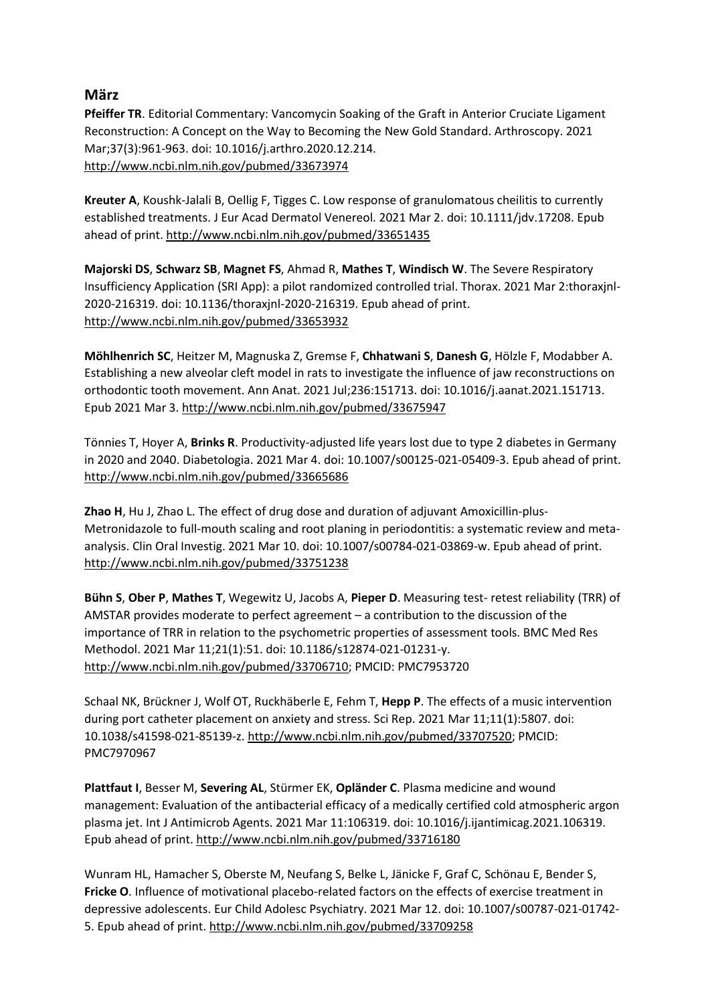## **März**

**Pfeiffer TR**. Editorial Commentary: Vancomycin Soaking of the Graft in Anterior Cruciate Ligament Reconstruction: A Concept on the Way to Becoming the New Gold Standard. Arthroscopy. 2021 Mar;37(3):961-963. doi: 10.1016/j.arthro.2020.12.214. <http://www.ncbi.nlm.nih.gov/pubmed/33673974>

**Kreuter A**, Koushk-Jalali B, Oellig F, Tigges C. Low response of granulomatous cheilitis to currently established treatments. J Eur Acad Dermatol Venereol. 2021 Mar 2. doi: 10.1111/jdv.17208. Epub ahead of print[. http://www.ncbi.nlm.nih.gov/pubmed/33651435](http://www.ncbi.nlm.nih.gov/pubmed/33651435)

**Majorski DS**, **Schwarz SB**, **Magnet FS**, Ahmad R, **Mathes T**, **Windisch W**. The Severe Respiratory Insufficiency Application (SRI App): a pilot randomized controlled trial. Thorax. 2021 Mar 2:thoraxjnl-2020-216319. doi: 10.1136/thoraxjnl-2020-216319. Epub ahead of print. <http://www.ncbi.nlm.nih.gov/pubmed/33653932>

**Möhlhenrich SC**, Heitzer M, Magnuska Z, Gremse F, **Chhatwani S**, **Danesh G**, Hölzle F, Modabber A. Establishing a new alveolar cleft model in rats to investigate the influence of jaw reconstructions on orthodontic tooth movement. Ann Anat. 2021 Jul;236:151713. doi: 10.1016/j.aanat.2021.151713. Epub 2021 Mar 3[. http://www.ncbi.nlm.nih.gov/pubmed/33675947](http://www.ncbi.nlm.nih.gov/pubmed/33675947)

Tönnies T, Hoyer A, **Brinks R**. Productivity-adjusted life years lost due to type 2 diabetes in Germany in 2020 and 2040. Diabetologia. 2021 Mar 4. doi: 10.1007/s00125-021-05409-3. Epub ahead of print. <http://www.ncbi.nlm.nih.gov/pubmed/33665686>

**Zhao H**, Hu J, Zhao L. The effect of drug dose and duration of adjuvant Amoxicillin-plus-Metronidazole to full-mouth scaling and root planing in periodontitis: a systematic review and metaanalysis. Clin Oral Investig. 2021 Mar 10. doi: 10.1007/s00784-021-03869-w. Epub ahead of print. <http://www.ncbi.nlm.nih.gov/pubmed/33751238>

**Bühn S**, **Ober P**, **Mathes T**, Wegewitz U, Jacobs A, **Pieper D**. Measuring test- retest reliability (TRR) of AMSTAR provides moderate to perfect agreement – a contribution to the discussion of the importance of TRR in relation to the psychometric properties of assessment tools. BMC Med Res Methodol. 2021 Mar 11;21(1):51. doi: 10.1186/s12874-021-01231-y. [http://www.ncbi.nlm.nih.gov/pubmed/33706710;](http://www.ncbi.nlm.nih.gov/pubmed/33706710) PMCID: PMC7953720

Schaal NK, Brückner J, Wolf OT, Ruckhäberle E, Fehm T, **Hepp P**. The effects of a music intervention during port catheter placement on anxiety and stress. Sci Rep. 2021 Mar 11;11(1):5807. doi: 10.1038/s41598-021-85139-z. [http://www.ncbi.nlm.nih.gov/pubmed/33707520;](http://www.ncbi.nlm.nih.gov/pubmed/33707520) PMCID: PMC7970967

**Plattfaut I**, Besser M, **Severing AL**, Stürmer EK, **Opländer C**. Plasma medicine and wound management: Evaluation of the antibacterial efficacy of a medically certified cold atmospheric argon plasma jet. Int J Antimicrob Agents. 2021 Mar 11:106319. doi: 10.1016/j.ijantimicag.2021.106319. Epub ahead of print[. http://www.ncbi.nlm.nih.gov/pubmed/33716180](http://www.ncbi.nlm.nih.gov/pubmed/33716180)

Wunram HL, Hamacher S, Oberste M, Neufang S, Belke L, Jänicke F, Graf C, Schönau E, Bender S, **Fricke O**. Influence of motivational placebo-related factors on the effects of exercise treatment in depressive adolescents. Eur Child Adolesc Psychiatry. 2021 Mar 12. doi: 10.1007/s00787-021-01742- 5. Epub ahead of print[. http://www.ncbi.nlm.nih.gov/pubmed/33709258](http://www.ncbi.nlm.nih.gov/pubmed/33709258)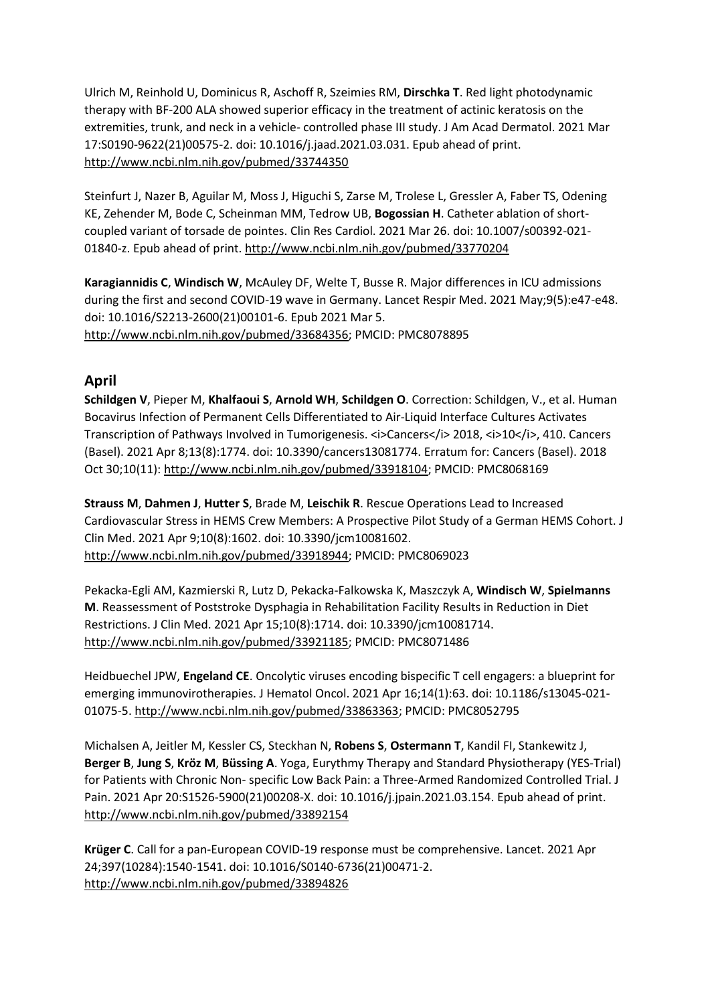Ulrich M, Reinhold U, Dominicus R, Aschoff R, Szeimies RM, **Dirschka T**. Red light photodynamic therapy with BF-200 ALA showed superior efficacy in the treatment of actinic keratosis on the extremities, trunk, and neck in a vehicle- controlled phase III study. J Am Acad Dermatol. 2021 Mar 17:S0190-9622(21)00575-2. doi: 10.1016/j.jaad.2021.03.031. Epub ahead of print. <http://www.ncbi.nlm.nih.gov/pubmed/33744350>

Steinfurt J, Nazer B, Aguilar M, Moss J, Higuchi S, Zarse M, Trolese L, Gressler A, Faber TS, Odening KE, Zehender M, Bode C, Scheinman MM, Tedrow UB, **Bogossian H**. Catheter ablation of shortcoupled variant of torsade de pointes. Clin Res Cardiol. 2021 Mar 26. doi: 10.1007/s00392-021- 01840-z. Epub ahead of print.<http://www.ncbi.nlm.nih.gov/pubmed/33770204>

**Karagiannidis C**, **Windisch W**, McAuley DF, Welte T, Busse R. Major differences in ICU admissions during the first and second COVID-19 wave in Germany. Lancet Respir Med. 2021 May;9(5):e47-e48. doi: 10.1016/S2213-2600(21)00101-6. Epub 2021 Mar 5. [http://www.ncbi.nlm.nih.gov/pubmed/33684356;](http://www.ncbi.nlm.nih.gov/pubmed/33684356) PMCID: PMC8078895

## **April**

**Schildgen V**, Pieper M, **Khalfaoui S**, **Arnold WH**, **Schildgen O**. Correction: Schildgen, V., et al. Human Bocavirus Infection of Permanent Cells Differentiated to Air-Liquid Interface Cultures Activates Transcription of Pathways Involved in Tumorigenesis. <i>Cancers</i> 2018, <i>10</i></a>>, 410. Cancers (Basel). 2021 Apr 8;13(8):1774. doi: 10.3390/cancers13081774. Erratum for: Cancers (Basel). 2018 Oct 30;10(11): [http://www.ncbi.nlm.nih.gov/pubmed/33918104;](http://www.ncbi.nlm.nih.gov/pubmed/33918104) PMCID: PMC8068169

**Strauss M**, **Dahmen J**, **Hutter S**, Brade M, **Leischik R**. Rescue Operations Lead to Increased Cardiovascular Stress in HEMS Crew Members: A Prospective Pilot Study of a German HEMS Cohort. J Clin Med. 2021 Apr 9;10(8):1602. doi: 10.3390/jcm10081602. [http://www.ncbi.nlm.nih.gov/pubmed/33918944;](http://www.ncbi.nlm.nih.gov/pubmed/33918944) PMCID: PMC8069023

Pekacka-Egli AM, Kazmierski R, Lutz D, Pekacka-Falkowska K, Maszczyk A, **Windisch W**, **Spielmanns M**. Reassessment of Poststroke Dysphagia in Rehabilitation Facility Results in Reduction in Diet Restrictions. J Clin Med. 2021 Apr 15;10(8):1714. doi: 10.3390/jcm10081714. [http://www.ncbi.nlm.nih.gov/pubmed/33921185;](http://www.ncbi.nlm.nih.gov/pubmed/33921185) PMCID: PMC8071486

Heidbuechel JPW, **Engeland CE**. Oncolytic viruses encoding bispecific T cell engagers: a blueprint for emerging immunovirotherapies. J Hematol Oncol. 2021 Apr 16;14(1):63. doi: 10.1186/s13045-021- 01075-5. [http://www.ncbi.nlm.nih.gov/pubmed/33863363;](http://www.ncbi.nlm.nih.gov/pubmed/33863363) PMCID: PMC8052795

Michalsen A, Jeitler M, Kessler CS, Steckhan N, **Robens S**, **Ostermann T**, Kandil FI, Stankewitz J, **Berger B**, **Jung S**, **Kröz M**, **Büssing A**. Yoga, Eurythmy Therapy and Standard Physiotherapy (YES-Trial) for Patients with Chronic Non- specific Low Back Pain: a Three-Armed Randomized Controlled Trial. J Pain. 2021 Apr 20:S1526-5900(21)00208-X. doi: 10.1016/j.jpain.2021.03.154. Epub ahead of print. <http://www.ncbi.nlm.nih.gov/pubmed/33892154>

**Krüger C**. Call for a pan-European COVID-19 response must be comprehensive. Lancet. 2021 Apr 24;397(10284):1540-1541. doi: 10.1016/S0140-6736(21)00471-2. <http://www.ncbi.nlm.nih.gov/pubmed/33894826>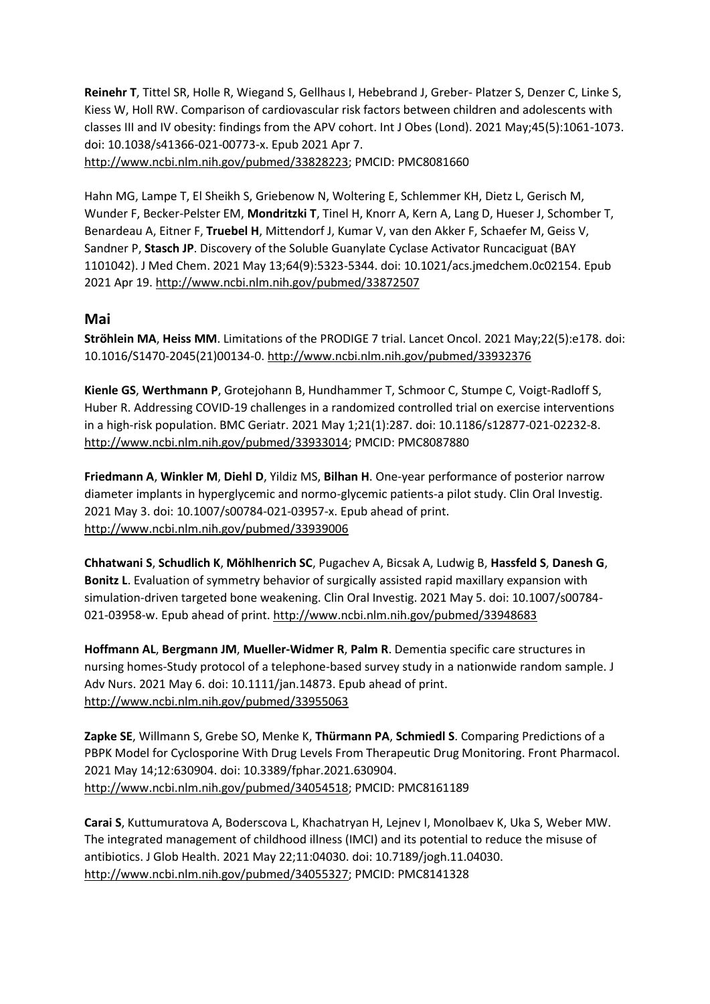**Reinehr T**, Tittel SR, Holle R, Wiegand S, Gellhaus I, Hebebrand J, Greber- Platzer S, Denzer C, Linke S, Kiess W, Holl RW. Comparison of cardiovascular risk factors between children and adolescents with classes III and IV obesity: findings from the APV cohort. Int J Obes (Lond). 2021 May;45(5):1061-1073. doi: 10.1038/s41366-021-00773-x. Epub 2021 Apr 7. [http://www.ncbi.nlm.nih.gov/pubmed/33828223;](http://www.ncbi.nlm.nih.gov/pubmed/33828223) PMCID: PMC8081660

Hahn MG, Lampe T, El Sheikh S, Griebenow N, Woltering E, Schlemmer KH, Dietz L, Gerisch M, Wunder F, Becker-Pelster EM, **Mondritzki T**, Tinel H, Knorr A, Kern A, Lang D, Hueser J, Schomber T, Benardeau A, Eitner F, **Truebel H**, Mittendorf J, Kumar V, van den Akker F, Schaefer M, Geiss V, Sandner P, **Stasch JP**. Discovery of the Soluble Guanylate Cyclase Activator Runcaciguat (BAY 1101042). J Med Chem. 2021 May 13;64(9):5323-5344. doi: 10.1021/acs.jmedchem.0c02154. Epub 2021 Apr 19[. http://www.ncbi.nlm.nih.gov/pubmed/33872507](http://www.ncbi.nlm.nih.gov/pubmed/33872507)

### **Mai**

**Ströhlein MA**, **Heiss MM**. Limitations of the PRODIGE 7 trial. Lancet Oncol. 2021 May;22(5):e178. doi: 10.1016/S1470-2045(21)00134-0.<http://www.ncbi.nlm.nih.gov/pubmed/33932376>

**Kienle GS**, **Werthmann P**, Grotejohann B, Hundhammer T, Schmoor C, Stumpe C, Voigt-Radloff S, Huber R. Addressing COVID-19 challenges in a randomized controlled trial on exercise interventions in a high-risk population. BMC Geriatr. 2021 May 1;21(1):287. doi: 10.1186/s12877-021-02232-8. [http://www.ncbi.nlm.nih.gov/pubmed/33933014;](http://www.ncbi.nlm.nih.gov/pubmed/33933014) PMCID: PMC8087880

**Friedmann A**, **Winkler M**, **Diehl D**, Yildiz MS, **Bilhan H**. One-year performance of posterior narrow diameter implants in hyperglycemic and normo-glycemic patients-a pilot study. Clin Oral Investig. 2021 May 3. doi: 10.1007/s00784-021-03957-x. Epub ahead of print. <http://www.ncbi.nlm.nih.gov/pubmed/33939006>

**Chhatwani S**, **Schudlich K**, **Möhlhenrich SC**, Pugachev A, Bicsak A, Ludwig B, **Hassfeld S**, **Danesh G**, **Bonitz L**. Evaluation of symmetry behavior of surgically assisted rapid maxillary expansion with simulation-driven targeted bone weakening. Clin Oral Investig. 2021 May 5. doi: 10.1007/s00784- 021-03958-w. Epub ahead of print.<http://www.ncbi.nlm.nih.gov/pubmed/33948683>

**Hoffmann AL**, **Bergmann JM**, **Mueller-Widmer R**, **Palm R**. Dementia specific care structures in nursing homes-Study protocol of a telephone-based survey study in a nationwide random sample. J Adv Nurs. 2021 May 6. doi: 10.1111/jan.14873. Epub ahead of print. <http://www.ncbi.nlm.nih.gov/pubmed/33955063>

**Zapke SE**, Willmann S, Grebe SO, Menke K, **Thürmann PA**, **Schmiedl S**. Comparing Predictions of a PBPK Model for Cyclosporine With Drug Levels From Therapeutic Drug Monitoring. Front Pharmacol. 2021 May 14;12:630904. doi: 10.3389/fphar.2021.630904. [http://www.ncbi.nlm.nih.gov/pubmed/34054518;](http://www.ncbi.nlm.nih.gov/pubmed/34054518) PMCID: PMC8161189

**Carai S**, Kuttumuratova A, Boderscova L, Khachatryan H, Lejnev I, Monolbaev K, Uka S, Weber MW. The integrated management of childhood illness (IMCI) and its potential to reduce the misuse of antibiotics. J Glob Health. 2021 May 22;11:04030. doi: 10.7189/jogh.11.04030. [http://www.ncbi.nlm.nih.gov/pubmed/34055327;](http://www.ncbi.nlm.nih.gov/pubmed/34055327) PMCID: PMC8141328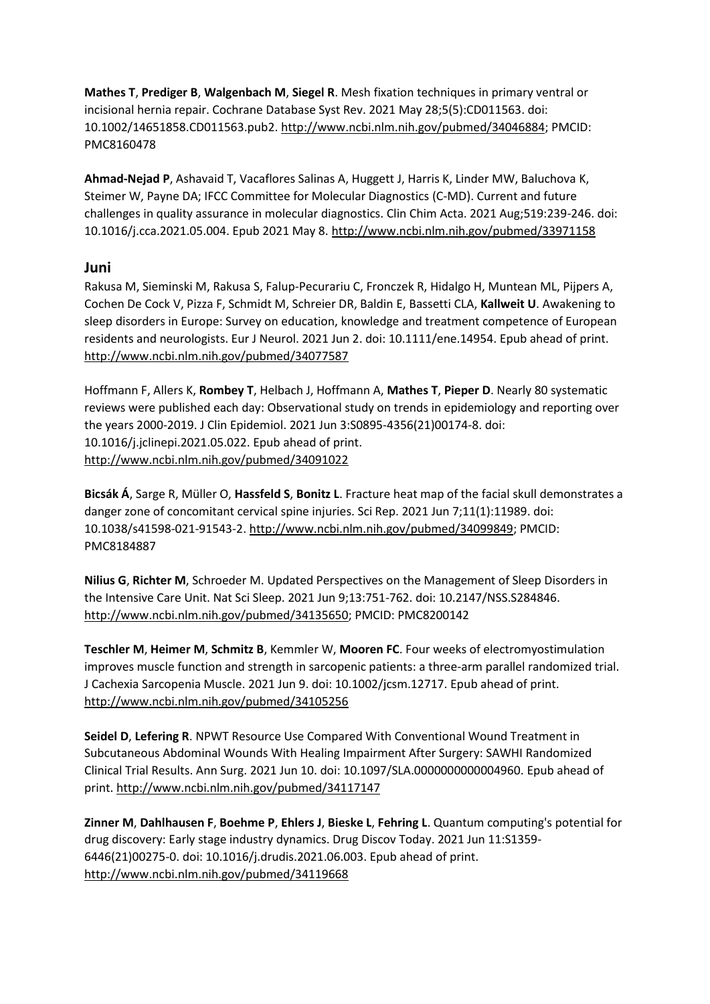**Mathes T**, **Prediger B**, **Walgenbach M**, **Siegel R**. Mesh fixation techniques in primary ventral or incisional hernia repair. Cochrane Database Syst Rev. 2021 May 28;5(5):CD011563. doi: 10.1002/14651858.CD011563.pub2[. http://www.ncbi.nlm.nih.gov/pubmed/34046884;](http://www.ncbi.nlm.nih.gov/pubmed/34046884) PMCID: PMC8160478

**Ahmad-Nejad P**, Ashavaid T, Vacaflores Salinas A, Huggett J, Harris K, Linder MW, Baluchova K, Steimer W, Payne DA; IFCC Committee for Molecular Diagnostics (C-MD). Current and future challenges in quality assurance in molecular diagnostics. Clin Chim Acta. 2021 Aug;519:239-246. doi: 10.1016/j.cca.2021.05.004. Epub 2021 May 8.<http://www.ncbi.nlm.nih.gov/pubmed/33971158>

### **Juni**

Rakusa M, Sieminski M, Rakusa S, Falup-Pecurariu C, Fronczek R, Hidalgo H, Muntean ML, Pijpers A, Cochen De Cock V, Pizza F, Schmidt M, Schreier DR, Baldin E, Bassetti CLA, **Kallweit U**. Awakening to sleep disorders in Europe: Survey on education, knowledge and treatment competence of European residents and neurologists. Eur J Neurol. 2021 Jun 2. doi: 10.1111/ene.14954. Epub ahead of print. <http://www.ncbi.nlm.nih.gov/pubmed/34077587>

Hoffmann F, Allers K, **Rombey T**, Helbach J, Hoffmann A, **Mathes T**, **Pieper D**. Nearly 80 systematic reviews were published each day: Observational study on trends in epidemiology and reporting over the years 2000-2019. J Clin Epidemiol. 2021 Jun 3:S0895-4356(21)00174-8. doi: 10.1016/j.jclinepi.2021.05.022. Epub ahead of print. <http://www.ncbi.nlm.nih.gov/pubmed/34091022>

**Bicsák Á**, Sarge R, Müller O, **Hassfeld S**, **Bonitz L**. Fracture heat map of the facial skull demonstrates a danger zone of concomitant cervical spine injuries. Sci Rep. 2021 Jun 7;11(1):11989. doi: 10.1038/s41598-021-91543-2. [http://www.ncbi.nlm.nih.gov/pubmed/34099849;](http://www.ncbi.nlm.nih.gov/pubmed/34099849) PMCID: PMC8184887

**Nilius G**, **Richter M**, Schroeder M. Updated Perspectives on the Management of Sleep Disorders in the Intensive Care Unit. Nat Sci Sleep. 2021 Jun 9;13:751-762. doi: 10.2147/NSS.S284846. [http://www.ncbi.nlm.nih.gov/pubmed/34135650;](http://www.ncbi.nlm.nih.gov/pubmed/34135650) PMCID: PMC8200142

**Teschler M**, **Heimer M**, **Schmitz B**, Kemmler W, **Mooren FC**. Four weeks of electromyostimulation improves muscle function and strength in sarcopenic patients: a three-arm parallel randomized trial. J Cachexia Sarcopenia Muscle. 2021 Jun 9. doi: 10.1002/jcsm.12717. Epub ahead of print. <http://www.ncbi.nlm.nih.gov/pubmed/34105256>

**Seidel D**, **Lefering R**. NPWT Resource Use Compared With Conventional Wound Treatment in Subcutaneous Abdominal Wounds With Healing Impairment After Surgery: SAWHI Randomized Clinical Trial Results. Ann Surg. 2021 Jun 10. doi: 10.1097/SLA.0000000000004960. Epub ahead of print[. http://www.ncbi.nlm.nih.gov/pubmed/34117147](http://www.ncbi.nlm.nih.gov/pubmed/34117147)

**Zinner M**, **Dahlhausen F**, **Boehme P**, **Ehlers J**, **Bieske L**, **Fehring L**. Quantum computing's potential for drug discovery: Early stage industry dynamics. Drug Discov Today. 2021 Jun 11:S1359- 6446(21)00275-0. doi: 10.1016/j.drudis.2021.06.003. Epub ahead of print. <http://www.ncbi.nlm.nih.gov/pubmed/34119668>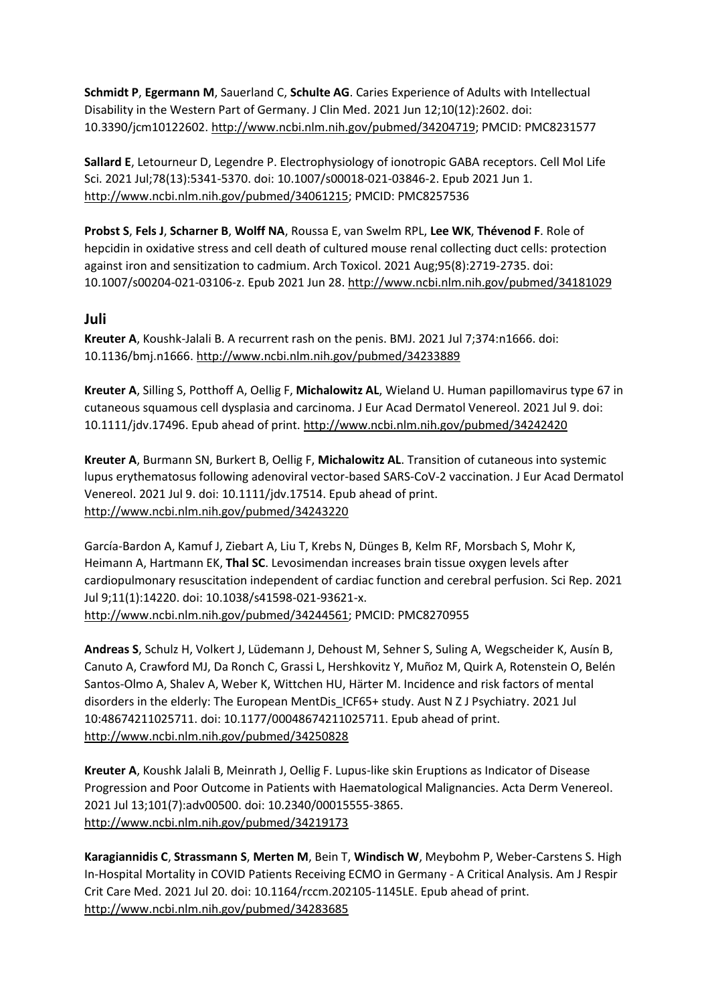**Schmidt P**, **Egermann M**, Sauerland C, **Schulte AG**. Caries Experience of Adults with Intellectual Disability in the Western Part of Germany. J Clin Med. 2021 Jun 12;10(12):2602. doi: 10.3390/jcm10122602. [http://www.ncbi.nlm.nih.gov/pubmed/34204719;](http://www.ncbi.nlm.nih.gov/pubmed/34204719) PMCID: PMC8231577

**Sallard E**, Letourneur D, Legendre P. Electrophysiology of ionotropic GABA receptors. Cell Mol Life Sci. 2021 Jul;78(13):5341-5370. doi: 10.1007/s00018-021-03846-2. Epub 2021 Jun 1. [http://www.ncbi.nlm.nih.gov/pubmed/34061215;](http://www.ncbi.nlm.nih.gov/pubmed/34061215) PMCID: PMC8257536

**Probst S**, **Fels J**, **Scharner B**, **Wolff NA**, Roussa E, van Swelm RPL, **Lee WK**, **Thévenod F**. Role of hepcidin in oxidative stress and cell death of cultured mouse renal collecting duct cells: protection against iron and sensitization to cadmium. Arch Toxicol. 2021 Aug;95(8):2719-2735. doi: 10.1007/s00204-021-03106-z. Epub 2021 Jun 28.<http://www.ncbi.nlm.nih.gov/pubmed/34181029>

## **Juli**

**Kreuter A**, Koushk-Jalali B. A recurrent rash on the penis. BMJ. 2021 Jul 7;374:n1666. doi: 10.1136/bmj.n1666[. http://www.ncbi.nlm.nih.gov/pubmed/34233889](http://www.ncbi.nlm.nih.gov/pubmed/34233889)

**Kreuter A**, Silling S, Potthoff A, Oellig F, **Michalowitz AL**, Wieland U. Human papillomavirus type 67 in cutaneous squamous cell dysplasia and carcinoma. J Eur Acad Dermatol Venereol. 2021 Jul 9. doi: 10.1111/jdv.17496. Epub ahead of print. <http://www.ncbi.nlm.nih.gov/pubmed/34242420>

**Kreuter A**, Burmann SN, Burkert B, Oellig F, **Michalowitz AL**. Transition of cutaneous into systemic lupus erythematosus following adenoviral vector-based SARS-CoV-2 vaccination. J Eur Acad Dermatol Venereol. 2021 Jul 9. doi: 10.1111/jdv.17514. Epub ahead of print. <http://www.ncbi.nlm.nih.gov/pubmed/34243220>

García-Bardon A, Kamuf J, Ziebart A, Liu T, Krebs N, Dünges B, Kelm RF, Morsbach S, Mohr K, Heimann A, Hartmann EK, **Thal SC**. Levosimendan increases brain tissue oxygen levels after cardiopulmonary resuscitation independent of cardiac function and cerebral perfusion. Sci Rep. 2021 Jul 9;11(1):14220. doi: 10.1038/s41598-021-93621-x. [http://www.ncbi.nlm.nih.gov/pubmed/34244561;](http://www.ncbi.nlm.nih.gov/pubmed/34244561) PMCID: PMC8270955

**Andreas S**, Schulz H, Volkert J, Lüdemann J, Dehoust M, Sehner S, Suling A, Wegscheider K, Ausín B, Canuto A, Crawford MJ, Da Ronch C, Grassi L, Hershkovitz Y, Muñoz M, Quirk A, Rotenstein O, Belén Santos-Olmo A, Shalev A, Weber K, Wittchen HU, Härter M. Incidence and risk factors of mental disorders in the elderly: The European MentDis\_ICF65+ study. Aust N Z J Psychiatry. 2021 Jul 10:48674211025711. doi: 10.1177/00048674211025711. Epub ahead of print. <http://www.ncbi.nlm.nih.gov/pubmed/34250828>

**Kreuter A**, Koushk Jalali B, Meinrath J, Oellig F. Lupus-like skin Eruptions as Indicator of Disease Progression and Poor Outcome in Patients with Haematological Malignancies. Acta Derm Venereol. 2021 Jul 13;101(7):adv00500. doi: 10.2340/00015555-3865. <http://www.ncbi.nlm.nih.gov/pubmed/34219173>

**Karagiannidis C**, **Strassmann S**, **Merten M**, Bein T, **Windisch W**, Meybohm P, Weber-Carstens S. High In-Hospital Mortality in COVID Patients Receiving ECMO in Germany - A Critical Analysis. Am J Respir Crit Care Med. 2021 Jul 20. doi: 10.1164/rccm.202105-1145LE. Epub ahead of print. <http://www.ncbi.nlm.nih.gov/pubmed/34283685>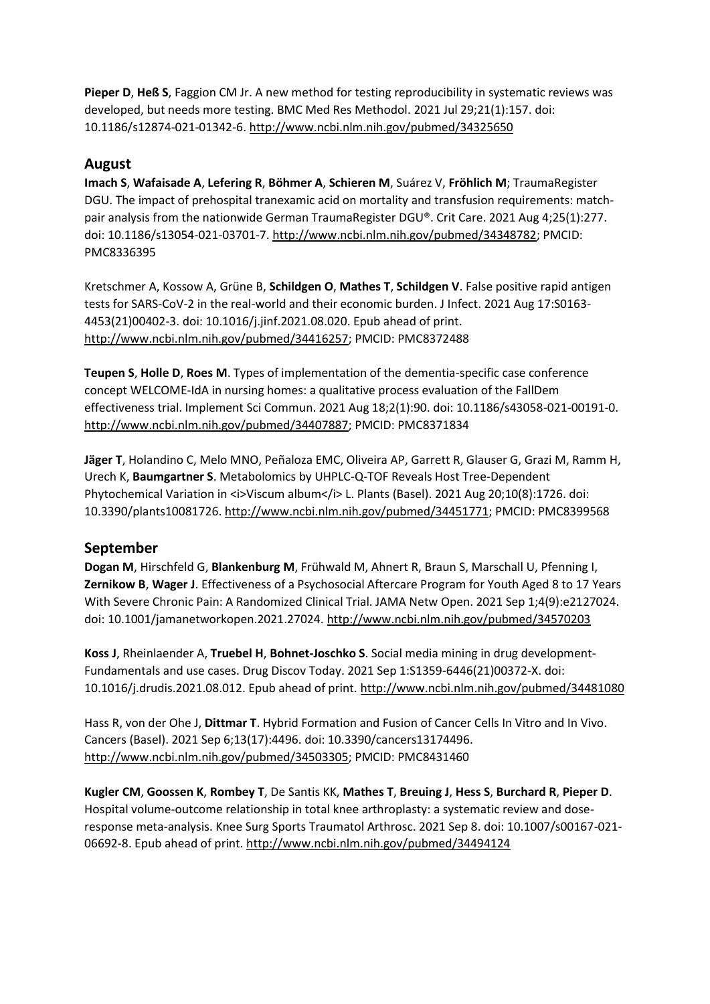**Pieper D**, **Heß S**, Faggion CM Jr. A new method for testing reproducibility in systematic reviews was developed, but needs more testing. BMC Med Res Methodol. 2021 Jul 29;21(1):157. doi: 10.1186/s12874-021-01342-6.<http://www.ncbi.nlm.nih.gov/pubmed/34325650>

## **August**

**Imach S**, **Wafaisade A**, **Lefering R**, **Böhmer A**, **Schieren M**, Suárez V, **Fröhlich M**; TraumaRegister DGU. The impact of prehospital tranexamic acid on mortality and transfusion requirements: matchpair analysis from the nationwide German TraumaRegister DGU®. Crit Care. 2021 Aug 4;25(1):277. doi: 10.1186/s13054-021-03701-7[. http://www.ncbi.nlm.nih.gov/pubmed/34348782;](http://www.ncbi.nlm.nih.gov/pubmed/34348782) PMCID: PMC8336395

Kretschmer A, Kossow A, Grüne B, **Schildgen O**, **Mathes T**, **Schildgen V**. False positive rapid antigen tests for SARS-CoV-2 in the real-world and their economic burden. J Infect. 2021 Aug 17:S0163- 4453(21)00402-3. doi: 10.1016/j.jinf.2021.08.020. Epub ahead of print. [http://www.ncbi.nlm.nih.gov/pubmed/34416257;](http://www.ncbi.nlm.nih.gov/pubmed/34416257) PMCID: PMC8372488

**Teupen S**, **Holle D**, **Roes M**. Types of implementation of the dementia-specific case conference concept WELCOME-IdA in nursing homes: a qualitative process evaluation of the FallDem effectiveness trial. Implement Sci Commun. 2021 Aug 18;2(1):90. doi: 10.1186/s43058-021-00191-0. [http://www.ncbi.nlm.nih.gov/pubmed/34407887;](http://www.ncbi.nlm.nih.gov/pubmed/34407887) PMCID: PMC8371834

**Jäger T**, Holandino C, Melo MNO, Peñaloza EMC, Oliveira AP, Garrett R, Glauser G, Grazi M, Ramm H, Urech K, **Baumgartner S**. Metabolomics by UHPLC-Q-TOF Reveals Host Tree-Dependent Phytochemical Variation in <i>Viscum album</i> L. Plants (Basel). 2021 Aug 20;10(8):1726. doi: 10.3390/plants10081726[. http://www.ncbi.nlm.nih.gov/pubmed/34451771;](http://www.ncbi.nlm.nih.gov/pubmed/34451771) PMCID: PMC8399568

## **September**

**Dogan M**, Hirschfeld G, **Blankenburg M**, Frühwald M, Ahnert R, Braun S, Marschall U, Pfenning I, **Zernikow B**, **Wager J**. Effectiveness of a Psychosocial Aftercare Program for Youth Aged 8 to 17 Years With Severe Chronic Pain: A Randomized Clinical Trial. JAMA Netw Open. 2021 Sep 1;4(9):e2127024. doi: 10.1001/jamanetworkopen.2021.27024.<http://www.ncbi.nlm.nih.gov/pubmed/34570203>

**Koss J**, Rheinlaender A, **Truebel H**, **Bohnet-Joschko S**. Social media mining in drug development-Fundamentals and use cases. Drug Discov Today. 2021 Sep 1:S1359-6446(21)00372-X. doi: 10.1016/j.drudis.2021.08.012. Epub ahead of print.<http://www.ncbi.nlm.nih.gov/pubmed/34481080>

Hass R, von der Ohe J, **Dittmar T**. Hybrid Formation and Fusion of Cancer Cells In Vitro and In Vivo. Cancers (Basel). 2021 Sep 6;13(17):4496. doi: 10.3390/cancers13174496. [http://www.ncbi.nlm.nih.gov/pubmed/34503305;](http://www.ncbi.nlm.nih.gov/pubmed/34503305) PMCID: PMC8431460

**Kugler CM**, **Goossen K**, **Rombey T**, De Santis KK, **Mathes T**, **Breuing J**, **Hess S**, **Burchard R**, **Pieper D**. Hospital volume-outcome relationship in total knee arthroplasty: a systematic review and doseresponse meta-analysis. Knee Surg Sports Traumatol Arthrosc. 2021 Sep 8. doi: 10.1007/s00167-021- 06692-8. Epub ahead of print[. http://www.ncbi.nlm.nih.gov/pubmed/34494124](http://www.ncbi.nlm.nih.gov/pubmed/34494124)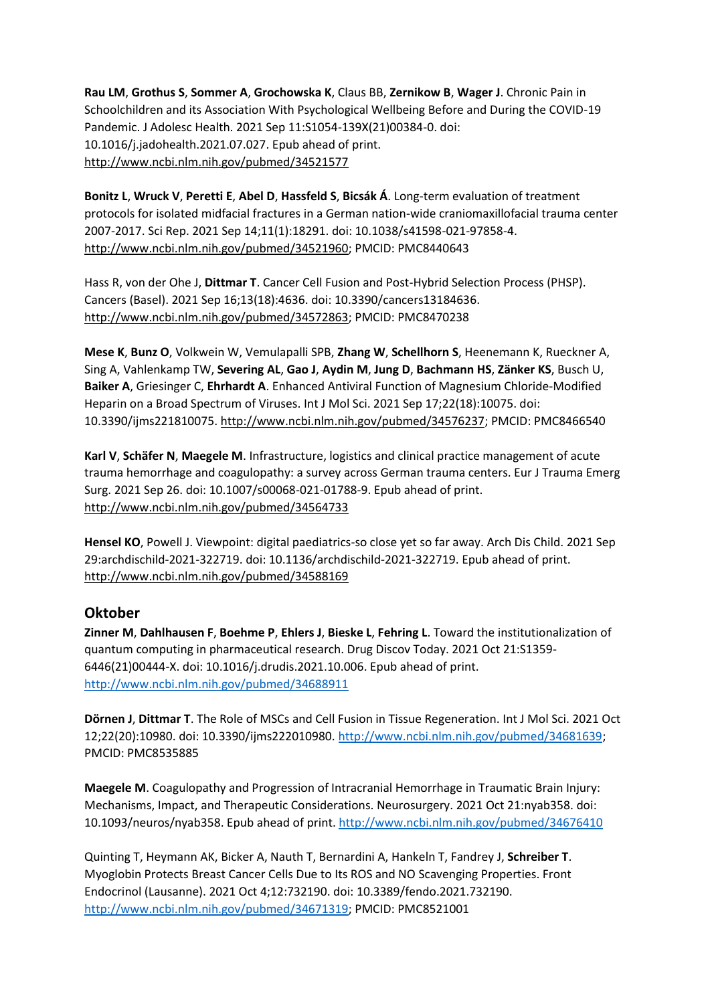**Rau LM**, **Grothus S**, **Sommer A**, **Grochowska K**, Claus BB, **Zernikow B**, **Wager J**. Chronic Pain in Schoolchildren and its Association With Psychological Wellbeing Before and During the COVID-19 Pandemic. J Adolesc Health. 2021 Sep 11:S1054-139X(21)00384-0. doi: 10.1016/j.jadohealth.2021.07.027. Epub ahead of print. <http://www.ncbi.nlm.nih.gov/pubmed/34521577>

**Bonitz L**, **Wruck V**, **Peretti E**, **Abel D**, **Hassfeld S**, **Bicsák Á**. Long-term evaluation of treatment protocols for isolated midfacial fractures in a German nation-wide craniomaxillofacial trauma center 2007-2017. Sci Rep. 2021 Sep 14;11(1):18291. doi: 10.1038/s41598-021-97858-4. [http://www.ncbi.nlm.nih.gov/pubmed/34521960;](http://www.ncbi.nlm.nih.gov/pubmed/34521960) PMCID: PMC8440643

Hass R, von der Ohe J, **Dittmar T**. Cancer Cell Fusion and Post-Hybrid Selection Process (PHSP). Cancers (Basel). 2021 Sep 16;13(18):4636. doi: 10.3390/cancers13184636. [http://www.ncbi.nlm.nih.gov/pubmed/34572863;](http://www.ncbi.nlm.nih.gov/pubmed/34572863) PMCID: PMC8470238

**Mese K**, **Bunz O**, Volkwein W, Vemulapalli SPB, **Zhang W**, **Schellhorn S**, Heenemann K, Rueckner A, Sing A, Vahlenkamp TW, **Severing AL**, **Gao J**, **Aydin M**, **Jung D**, **Bachmann HS**, **Zänker KS**, Busch U, **Baiker A**, Griesinger C, **Ehrhardt A**. Enhanced Antiviral Function of Magnesium Chloride-Modified Heparin on a Broad Spectrum of Viruses. Int J Mol Sci. 2021 Sep 17;22(18):10075. doi: 10.3390/ijms221810075. [http://www.ncbi.nlm.nih.gov/pubmed/34576237;](http://www.ncbi.nlm.nih.gov/pubmed/34576237) PMCID: PMC8466540

**Karl V**, **Schäfer N**, **Maegele M**. Infrastructure, logistics and clinical practice management of acute trauma hemorrhage and coagulopathy: a survey across German trauma centers. Eur J Trauma Emerg Surg. 2021 Sep 26. doi: 10.1007/s00068-021-01788-9. Epub ahead of print. <http://www.ncbi.nlm.nih.gov/pubmed/34564733>

**Hensel KO**, Powell J. Viewpoint: digital paediatrics-so close yet so far away. Arch Dis Child. 2021 Sep 29:archdischild-2021-322719. doi: 10.1136/archdischild-2021-322719. Epub ahead of print. <http://www.ncbi.nlm.nih.gov/pubmed/34588169>

## **Oktober**

**Zinner M**, **Dahlhausen F**, **Boehme P**, **Ehlers J**, **Bieske L**, **Fehring L**. Toward the institutionalization of quantum computing in pharmaceutical research. Drug Discov Today. 2021 Oct 21:S1359- 6446(21)00444-X. doi: 10.1016/j.drudis.2021.10.006. Epub ahead of print. <http://www.ncbi.nlm.nih.gov/pubmed/34688911>

**Dörnen J**, **Dittmar T**. The Role of MSCs and Cell Fusion in Tissue Regeneration. Int J Mol Sci. 2021 Oct 12;22(20):10980. doi: 10.3390/ijms222010980[. http://www.ncbi.nlm.nih.gov/pubmed/34681639;](http://www.ncbi.nlm.nih.gov/pubmed/34681639) PMCID: PMC8535885

**Maegele M**. Coagulopathy and Progression of Intracranial Hemorrhage in Traumatic Brain Injury: Mechanisms, Impact, and Therapeutic Considerations. Neurosurgery. 2021 Oct 21:nyab358. doi: 10.1093/neuros/nyab358. Epub ahead of print.<http://www.ncbi.nlm.nih.gov/pubmed/34676410>

Quinting T, Heymann AK, Bicker A, Nauth T, Bernardini A, Hankeln T, Fandrey J, **Schreiber T**. Myoglobin Protects Breast Cancer Cells Due to Its ROS and NO Scavenging Properties. Front Endocrinol (Lausanne). 2021 Oct 4;12:732190. doi: 10.3389/fendo.2021.732190. [http://www.ncbi.nlm.nih.gov/pubmed/34671319;](http://www.ncbi.nlm.nih.gov/pubmed/34671319) PMCID: PMC8521001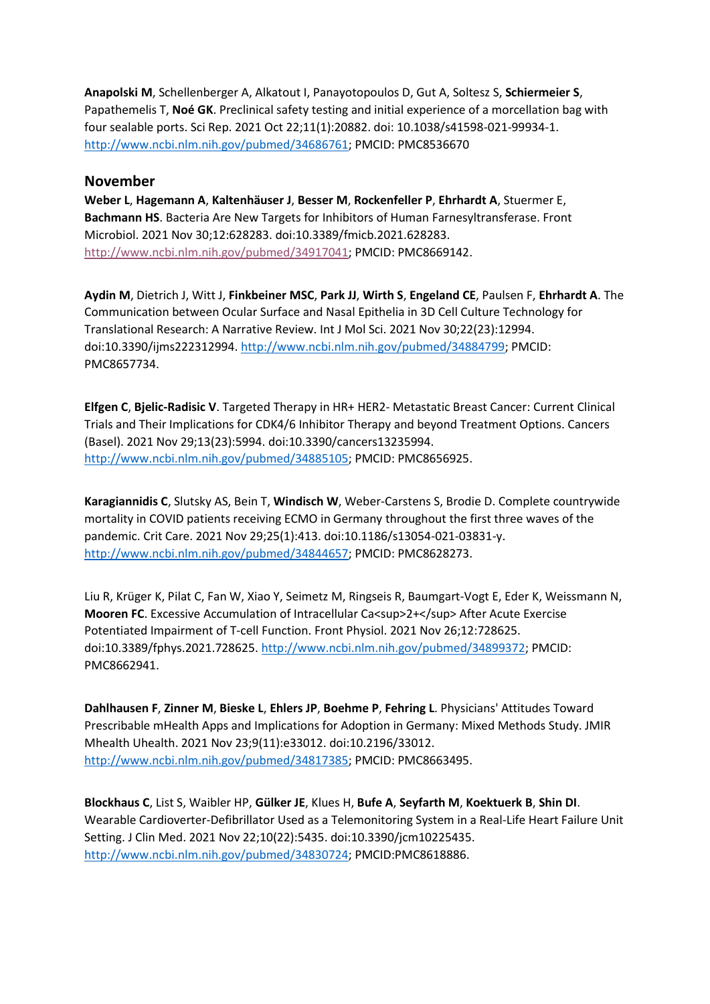**Anapolski M**, Schellenberger A, Alkatout I, Panayotopoulos D, Gut A, Soltesz S, **Schiermeier S**, Papathemelis T, **Noé GK**. Preclinical safety testing and initial experience of a morcellation bag with four sealable ports. Sci Rep. 2021 Oct 22;11(1):20882. doi: 10.1038/s41598-021-99934-1. [http://www.ncbi.nlm.nih.gov/pubmed/34686761;](http://www.ncbi.nlm.nih.gov/pubmed/34686761) PMCID: PMC8536670

#### **November**

**Weber L**, **Hagemann A**, **Kaltenhäuser J**, **Besser M**, **Rockenfeller P**, **Ehrhardt A**, Stuermer E, **Bachmann HS**. Bacteria Are New Targets for Inhibitors of Human Farnesyltransferase. Front Microbiol. 2021 Nov 30;12:628283. doi:10.3389/fmicb.2021.628283. [http://www.ncbi.nlm.nih.gov/pubmed/34917041;](http://www.ncbi.nlm.nih.gov/pubmed/34917041) PMCID: PMC8669142.

**Aydin M**, Dietrich J, Witt J, **Finkbeiner MSC**, **Park JJ**, **Wirth S**, **Engeland CE**, Paulsen F, **Ehrhardt A**. The Communication between Ocular Surface and Nasal Epithelia in 3D Cell Culture Technology for Translational Research: A Narrative Review. Int J Mol Sci. 2021 Nov 30;22(23):12994. doi:10.3390/ijms222312994. [http://www.ncbi.nlm.nih.gov/pubmed/34884799;](http://www.ncbi.nlm.nih.gov/pubmed/34884799) PMCID: PMC8657734.

**Elfgen C**, **Bjelic-Radisic V**. Targeted Therapy in HR+ HER2- Metastatic Breast Cancer: Current Clinical Trials and Their Implications for CDK4/6 Inhibitor Therapy and beyond Treatment Options. Cancers (Basel). 2021 Nov 29;13(23):5994. doi:10.3390/cancers13235994. [http://www.ncbi.nlm.nih.gov/pubmed/34885105;](http://www.ncbi.nlm.nih.gov/pubmed/34885105) PMCID: PMC8656925.

**Karagiannidis C**, Slutsky AS, Bein T, **Windisch W**, Weber-Carstens S, Brodie D. Complete countrywide mortality in COVID patients receiving ECMO in Germany throughout the first three waves of the pandemic. Crit Care. 2021 Nov 29;25(1):413. doi:10.1186/s13054-021-03831-y. [http://www.ncbi.nlm.nih.gov/pubmed/34844657;](http://www.ncbi.nlm.nih.gov/pubmed/34844657) PMCID: PMC8628273.

Liu R, Krüger K, Pilat C, Fan W, Xiao Y, Seimetz M, Ringseis R, Baumgart-Vogt E, Eder K, Weissmann N, **Mooren FC**. Excessive Accumulation of Intracellular Ca<sup>2+</sup>After Acute Exercise Potentiated Impairment of T-cell Function. Front Physiol. 2021 Nov 26;12:728625. doi:10.3389/fphys.2021.728625. [http://www.ncbi.nlm.nih.gov/pubmed/34899372;](http://www.ncbi.nlm.nih.gov/pubmed/34899372) PMCID: PMC8662941.

**Dahlhausen F**, **Zinner M**, **Bieske L**, **Ehlers JP**, **Boehme P**, **Fehring L**. Physicians' Attitudes Toward Prescribable mHealth Apps and Implications for Adoption in Germany: Mixed Methods Study. JMIR Mhealth Uhealth. 2021 Nov 23;9(11):e33012. doi:10.2196/33012. [http://www.ncbi.nlm.nih.gov/pubmed/34817385;](http://www.ncbi.nlm.nih.gov/pubmed/34817385) PMCID: PMC8663495.

**Blockhaus C**, List S, Waibler HP, **Gülker JE**, Klues H, **Bufe A**, **Seyfarth M**, **Koektuerk B**, **Shin DI**. Wearable Cardioverter-Defibrillator Used as a Telemonitoring System in a Real-Life Heart Failure Unit Setting. J Clin Med. 2021 Nov 22;10(22):5435. doi:10.3390/jcm10225435. [http://www.ncbi.nlm.nih.gov/pubmed/34830724;](http://www.ncbi.nlm.nih.gov/pubmed/34830724) PMCID:PMC8618886.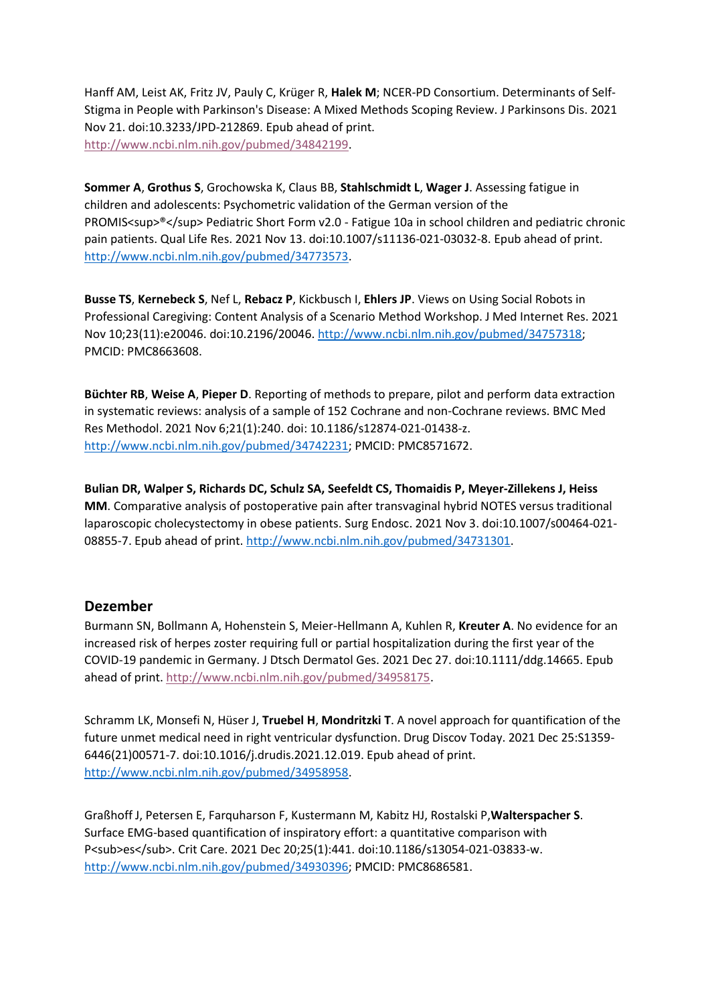Hanff AM, Leist AK, Fritz JV, Pauly C, Krüger R, **Halek M**; NCER-PD Consortium. Determinants of Self-Stigma in People with Parkinson's Disease: A Mixed Methods Scoping Review. J Parkinsons Dis. 2021 Nov 21. doi:10.3233/JPD-212869. Epub ahead of print. [http://www.ncbi.nlm.nih.gov/pubmed/34842199.](http://www.ncbi.nlm.nih.gov/pubmed/34842199)

**Sommer A**, **Grothus S**, Grochowska K, Claus BB, **Stahlschmidt L**, **Wager J**. Assessing fatigue in children and adolescents: Psychometric validation of the German version of the PROMIS<sup>®</sup> Pediatric Short Form v2.0 - Fatigue 10a in school children and pediatric chronic pain patients. Qual Life Res. 2021 Nov 13. doi:10.1007/s11136-021-03032-8. Epub ahead of print. [http://www.ncbi.nlm.nih.gov/pubmed/34773573.](http://www.ncbi.nlm.nih.gov/pubmed/34773573)

**Busse TS**, **Kernebeck S**, Nef L, **Rebacz P**, Kickbusch I, **Ehlers JP**. Views on Using Social Robots in Professional Caregiving: Content Analysis of a Scenario Method Workshop. J Med Internet Res. 2021 Nov 10;23(11):e20046. doi:10.2196/20046[. http://www.ncbi.nlm.nih.gov/pubmed/34757318;](http://www.ncbi.nlm.nih.gov/pubmed/34757318) PMCID: PMC8663608.

**Büchter RB**, **Weise A**, **Pieper D**. Reporting of methods to prepare, pilot and perform data extraction in systematic reviews: analysis of a sample of 152 Cochrane and non-Cochrane reviews. BMC Med Res Methodol. 2021 Nov 6;21(1):240. doi: 10.1186/s12874-021-01438-z. [http://www.ncbi.nlm.nih.gov/pubmed/34742231;](http://www.ncbi.nlm.nih.gov/pubmed/34742231) PMCID: PMC8571672.

**Bulian DR, Walper S, Richards DC, Schulz SA, Seefeldt CS, Thomaidis P, Meyer-Zillekens J, Heiss MM**. Comparative analysis of postoperative pain after transvaginal hybrid NOTES versus traditional laparoscopic cholecystectomy in obese patients. Surg Endosc. 2021 Nov 3. doi:10.1007/s00464-021- 08855-7. Epub ahead of print[. http://www.ncbi.nlm.nih.gov/pubmed/34731301.](http://www.ncbi.nlm.nih.gov/pubmed/34731301)

#### **Dezember**

Burmann SN, Bollmann A, Hohenstein S, Meier-Hellmann A, Kuhlen R, **Kreuter A**. No evidence for an increased risk of herpes zoster requiring full or partial hospitalization during the first year of the COVID-19 pandemic in Germany. J Dtsch Dermatol Ges. 2021 Dec 27. doi:10.1111/ddg.14665. Epub ahead of print. [http://www.ncbi.nlm.nih.gov/pubmed/34958175.](http://www.ncbi.nlm.nih.gov/pubmed/34958175)

Schramm LK, Monsefi N, Hüser J, **Truebel H**, **Mondritzki T**. A novel approach for quantification of the future unmet medical need in right ventricular dysfunction. Drug Discov Today. 2021 Dec 25:S1359- 6446(21)00571-7. doi:10.1016/j.drudis.2021.12.019. Epub ahead of print. [http://www.ncbi.nlm.nih.gov/pubmed/34958958.](http://www.ncbi.nlm.nih.gov/pubmed/34958958)

Graßhoff J, Petersen E, Farquharson F, Kustermann M, Kabitz HJ, Rostalski P,**Walterspacher S**. Surface EMG-based quantification of inspiratory effort: a quantitative comparison with P<sub>es</sub>. Crit Care. 2021 Dec 20;25(1):441. doi:10.1186/s13054-021-03833-w. [http://www.ncbi.nlm.nih.gov/pubmed/34930396;](http://www.ncbi.nlm.nih.gov/pubmed/34930396) PMCID: PMC8686581.